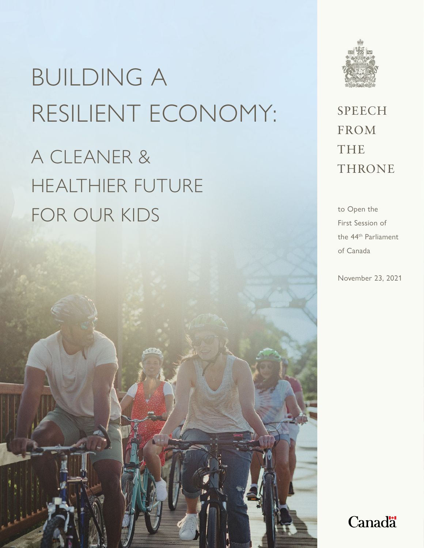A CLEANER & HEALTHIER FUTURE FOR OUR KIDS to Open the



**SPEECH** FROM THE **THRONE** 

First Session of the 44th Parliament of Canada

November 23, 2021

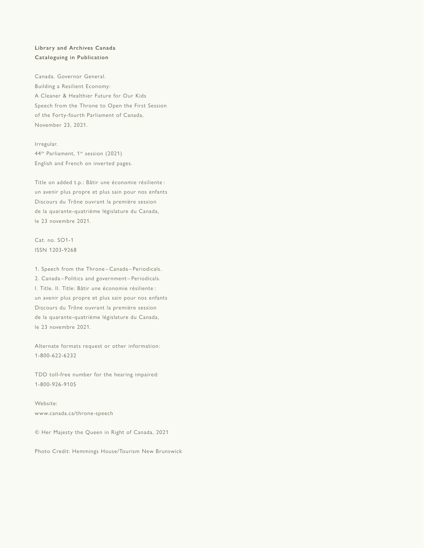#### **Library and Archives Canada Cataloguing in Publication**

Canada. Governor General. Building a Resilient Economy: A Cleaner & Healthier Future for Our Kids Speech from the Throne to Open the First Session of the Forty-fourth Parliament of Canada, November 23, 2021.

Irregular. 44<sup>th</sup> Parliament, 1<sup>st</sup> session (2021) English and French on inverted pages.

Title on added t.p.: Bâtir une économie résiliente : un avenir plus propre et plus sain pour nos enfants Discours du Trône ouvrant la première session de la quarante-quatrième législature du Canada, le 23 novembre 2021.

Cat. no. SO1-1 ISSN 1203-9268

1. Speech from the Throne – Canada – Periodicals. 2. Canada – Politics and government – Periodicals. I. Title. II. Title: Bâtir une économie résiliente : un avenir plus propre et plus sain pour nos enfants Discours du Trône ouvrant la première session de la quarante-quatrième législature du Canada, le 23 novembre 2021.

Alternate formats request or other information: 1-800-622-6232

TDD toll-free number for the hearing impaired: 1-800-926-9105

Website: www.canada.ca/throne-speech

© Her Majesty the Queen in Right of Canada, 2021

Photo Credit: Hemmings House/Tourism New Brunswick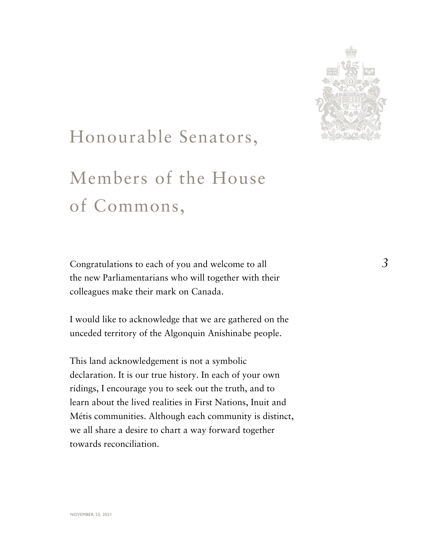

#### Honourable Senators,

#### Members of the House of Commons,

Congratulations to each of you and welcome to all the new Parliamentarians who will together with their colleagues make their mark on Canada.

I would like to acknowledge that we are gathered on the unceded territory of the Algonquin Anishinabe people.

This land acknowledgement is not a symbolic declaration. It is our true history. In each of your own ridings, I encourage you to seek out the truth, and to learn about the lived realities in First Nations, Inuit and Métis communities. Although each community is distinct, we all share a desire to chart a way forward together towards reconciliation.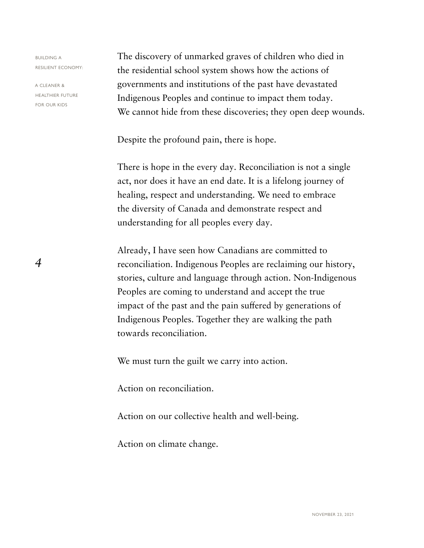A CLEANER & HEALTHIER FUTURE FOR OUR KIDS

*4*

The discovery of unmarked graves of children who died in the residential school system shows how the actions of governments and institutions of the past have devastated Indigenous Peoples and continue to impact them today. We cannot hide from these discoveries; they open deep wounds.

Despite the profound pain, there is hope.

There is hope in the every day. Reconciliation is not a single act, nor does it have an end date. It is a lifelong journey of healing, respect and understanding. We need to embrace the diversity of Canada and demonstrate respect and understanding for all peoples every day.

Already, I have seen how Canadians are committed to reconciliation. Indigenous Peoples are reclaiming our history, stories, culture and language through action. Non-Indigenous Peoples are coming to understand and accept the true impact of the past and the pain suffered by generations of Indigenous Peoples. Together they are walking the path towards reconciliation.

We must turn the guilt we carry into action.

Action on reconciliation.

Action on our collective health and well-being.

Action on climate change.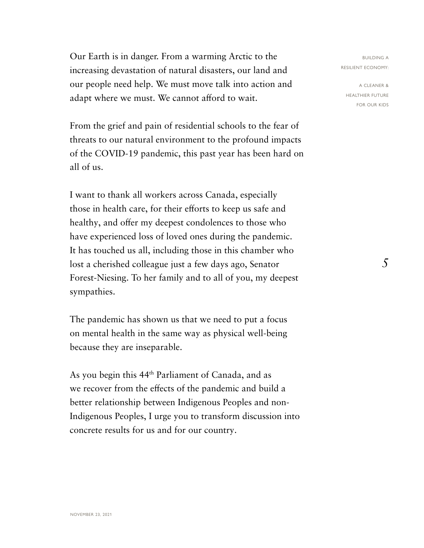Our Earth is in danger. From a warming Arctic to the increasing devastation of natural disasters, our land and our people need help. We must move talk into action and adapt where we must. We cannot afford to wait.

From the grief and pain of residential schools to the fear of threats to our natural environment to the profound impacts of the COVID-19 pandemic, this past year has been hard on all of us.

I want to thank all workers across Canada, especially those in health care, for their efforts to keep us safe and healthy, and offer my deepest condolences to those who have experienced loss of loved ones during the pandemic. It has touched us all, including those in this chamber who lost a cherished colleague just a few days ago, Senator Forest-Niesing. To her family and to all of you, my deepest sympathies.

The pandemic has shown us that we need to put a focus on mental health in the same way as physical well-being because they are inseparable.

As you begin this 44th Parliament of Canada, and as we recover from the effects of the pandemic and build a better relationship between Indigenous Peoples and non-Indigenous Peoples, I urge you to transform discussion into concrete results for us and for our country.

BUILDING A RESILIENT ECONOMY:

A CLEANER & HEALTHIER FUTURE FOR OUR KIDS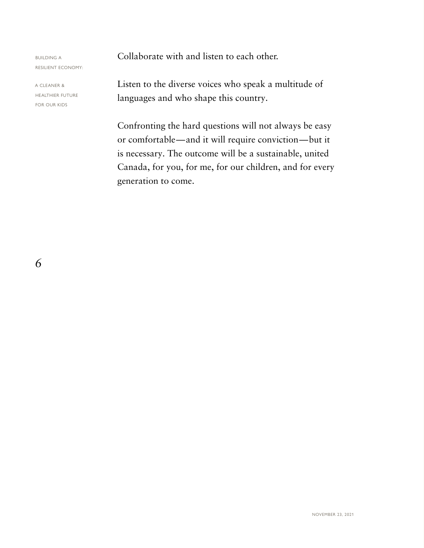A CLEANER & HEALTHIER FUTURE FOR OUR KIDS

Collaborate with and listen to each other.

Listen to the diverse voices who speak a multitude of languages and who shape this country.

Confronting the hard questions will not always be easy or comfortable — and it will require conviction — but it is necessary. The outcome will be a sustainable, united Canada, for you, for me, for our children, and for every generation to come.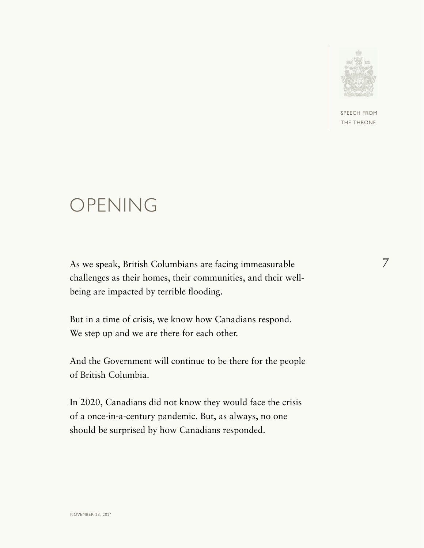

SPEECH FROM HE THRONE

#### OPENING

As we speak, British Columbians are facing immeasurable challenges as their homes, their communities, and their wellbeing are impacted by terrible flooding.

But in a time of crisis, we know how Canadians respond. We step up and we are there for each other.

And the Government will continue to be there for the people of British Columbia.

In 2020, Canadians did not know they would face the crisis of a once-in-a-century pandemic. But, as always, no one should be surprised by how Canadians responded.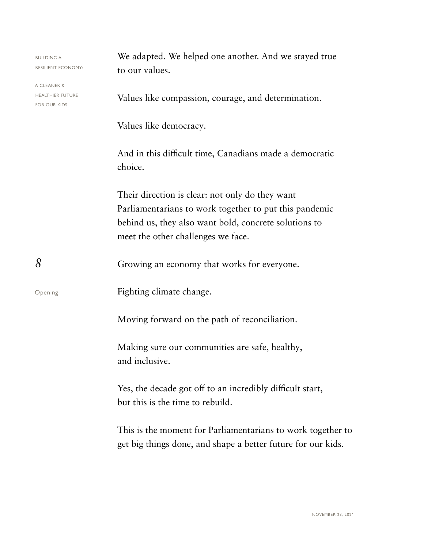| <b>BUILDING A</b><br>RESILIENT ECONOMY:                | We adapted. We helped one another. And we stayed true                                                                                                                                                    |
|--------------------------------------------------------|----------------------------------------------------------------------------------------------------------------------------------------------------------------------------------------------------------|
|                                                        | to our values.                                                                                                                                                                                           |
| a cleaner &<br><b>HEALTHIER FUTURE</b><br>FOR OUR KIDS | Values like compassion, courage, and determination.                                                                                                                                                      |
|                                                        | Values like democracy.                                                                                                                                                                                   |
|                                                        | And in this difficult time, Canadians made a democratic<br>choice.                                                                                                                                       |
|                                                        | Their direction is clear: not only do they want<br>Parliamentarians to work together to put this pandemic<br>behind us, they also want bold, concrete solutions to<br>meet the other challenges we face. |
| 8                                                      | Growing an economy that works for everyone.                                                                                                                                                              |
| Opening                                                | Fighting climate change.                                                                                                                                                                                 |
|                                                        | Moving forward on the path of reconciliation.                                                                                                                                                            |
|                                                        | Making sure our communities are safe, healthy,<br>and inclusive.                                                                                                                                         |
|                                                        | Yes, the decade got off to an incredibly difficult start,<br>but this is the time to rebuild.                                                                                                            |
|                                                        | This is the moment for Parliamentarians to work together to<br>get big things done, and shape a better future for our kids.                                                                              |
|                                                        |                                                                                                                                                                                                          |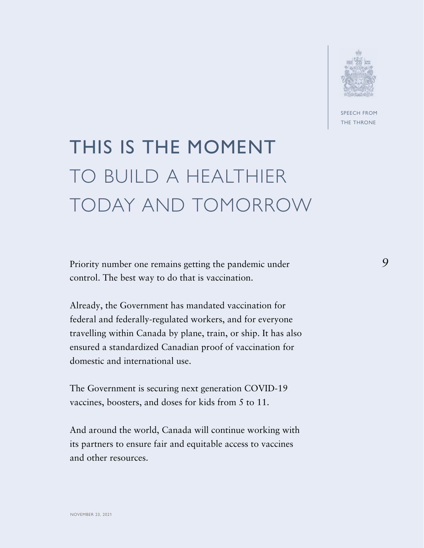

SPEECH FROM THE THRONE

*9*

#### THIS IS THE MOMENT TO BUILD A HEALTHIER TODAY AND TOMORROW

Priority number one remains getting the pandemic under control. The best way to do that is vaccination.

Already, the Government has mandated vaccination for federal and federally-regulated workers, and for everyone travelling within Canada by plane, train, or ship. It has also ensured a standardized Canadian proof of vaccination for domestic and international use.

The Government is securing next generation COVID-19 vaccines, boosters, and doses for kids from 5 to 11.

And around the world, Canada will continue working with its partners to ensure fair and equitable access to vaccines and other resources.

NOVEMBER 23, 2021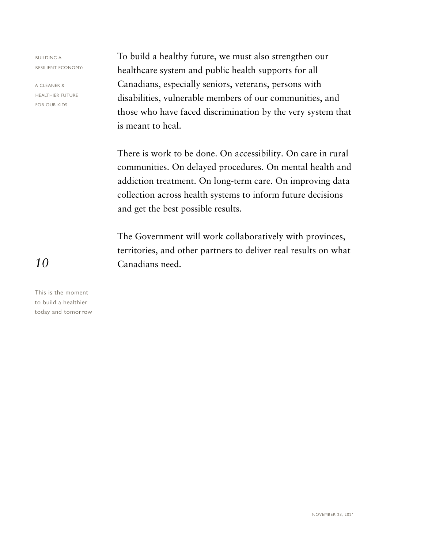A CLEANER & HEALTHIER FUTURE FOR OUR KIDS

To build a healthy future, we must also strengthen our healthcare system and public health supports for all Canadians, especially seniors, veterans, persons with disabilities, vulnerable members of our communities, and those who have faced discrimination by the very system that is meant to heal.

There is work to be done. On accessibility. On care in rural communities. On delayed procedures. On mental health and addiction treatment. On long-term care. On improving data collection across health systems to inform future decisions and get the best possible results.

The Government will work collaboratively with provinces, territories, and other partners to deliver real results on what Canadians need.

*10*

This is the moment to build a healthier today and tomorrow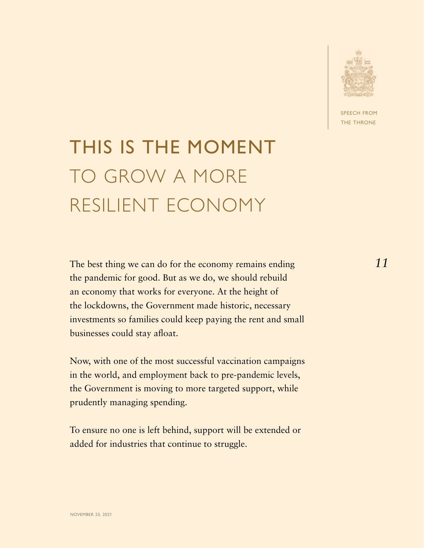

PEECH FROM **HE THRONE** 

#### THIS IS THE MOMENT TO GROW A MORE RESILIENT ECONOMY

The best thing we can do for the economy remains ending the pandemic for good. But as we do, we should rebuild an economy that works for everyone. At the height of the lockdowns, the Government made historic, necessary investments so families could keep paying the rent and small businesses could stay afloat.

Now, with one of the most successful vaccination campaigns in the world, and employment back to pre-pandemic levels, the Government is moving to more targeted support, while prudently managing spending.

To ensure no one is left behind, support will be extended or added for industries that continue to struggle.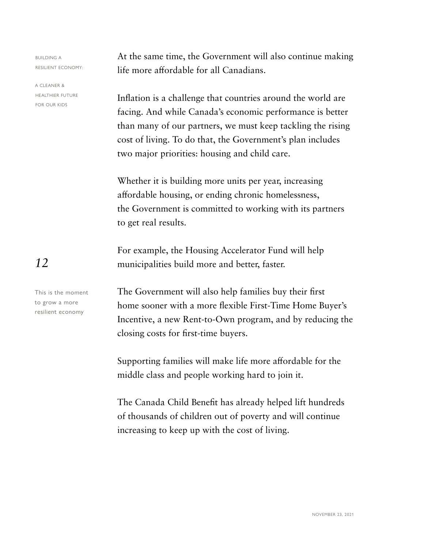A CLEANER & HEALTHIER FUTURE FOR OUR KIDS

*12*

This is the moment to grow a more resilient economy

At the same time, the Government will also continue making life more affordable for all Canadians.

Inflation is a challenge that countries around the world are facing. And while Canada's economic performance is better than many of our partners, we must keep tackling the rising cost of living. To do that, the Government's plan includes two major priorities: housing and child care.

Whether it is building more units per year, increasing affordable housing, or ending chronic homelessness, the Government is committed to working with its partners to get real results.

For example, the Housing Accelerator Fund will help municipalities build more and better, faster.

The Government will also help families buy their first home sooner with a more flexible First-Time Home Buyer's Incentive, a new Rent-to-Own program, and by reducing the closing costs for first-time buyers.

Supporting families will make life more affordable for the middle class and people working hard to join it.

The Canada Child Benefit has already helped lift hundreds of thousands of children out of poverty and will continue increasing to keep up with the cost of living.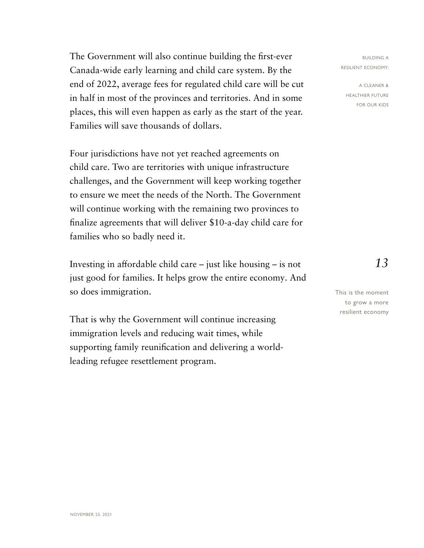The Government will also continue building the first-ever Canada-wide early learning and child care system. By the end of 2022, average fees for regulated child care will be cut in half in most of the provinces and territories. And in some places, this will even happen as early as the start of the year. Families will save thousands of dollars.

Four jurisdictions have not yet reached agreements on child care. Two are territories with unique infrastructure challenges, and the Government will keep working together to ensure we meet the needs of the North. The Government will continue working with the remaining two provinces to finalize agreements that will deliver \$10-a-day child care for families who so badly need it.

Investing in affordable child care – just like housing – is not just good for families. It helps grow the entire economy. And so does immigration.

That is why the Government will continue increasing immigration levels and reducing wait times, while supporting family reunification and delivering a worldleading refugee resettlement program.

BUILDING A RESILIENT ECONOMY:

A CLEANER & HEALTHIER FUTURE FOR OUR KIDS

*13*

This is the moment to grow a more resilient economy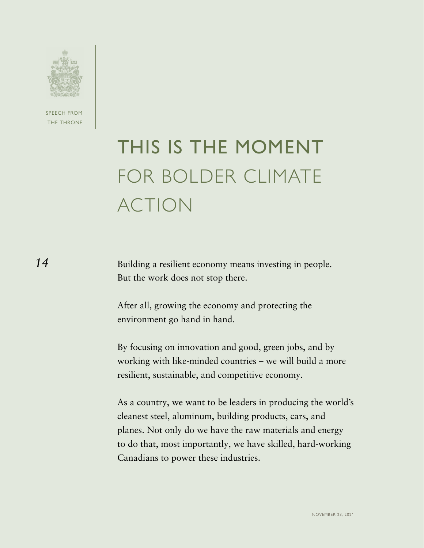

SPEECH FROM THE THRONE

## THIS IS THE MOMENT FOR BOLDER CLIMATE ACTION

Building a resilient economy means investing in people. But the work does not stop there.

After all, growing the economy and protecting the environment go hand in hand.

By focusing on innovation and good, green jobs, and by working with like-minded countries – we will build a more resilient, sustainable, and competitive economy.

As a country, we want to be leaders in producing the world's cleanest steel, aluminum, building products, cars, and planes. Not only do we have the raw materials and energy to do that, most importantly, we have skilled, hard-working Canadians to power these industries.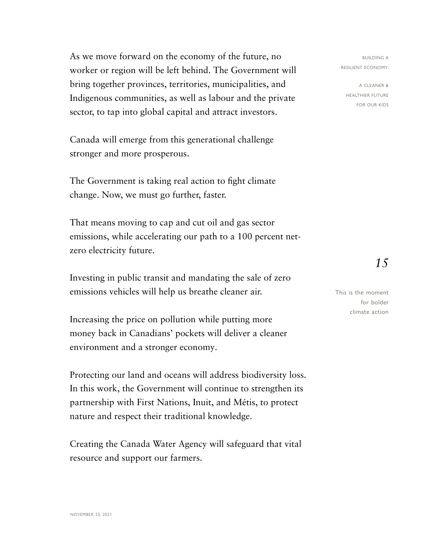As we move forward on the economy of the future, no worker or region will be left behind. The Government will bring together provinces, territories, municipalities, and Indigenous communities, as well as labour and the private sector, to tap into global capital and attract investors.

Canada will emerge from this generational challenge stronger and more prosperous.

The Government is taking real action to fight climate change. Now, we must go further, faster.

That means moving to cap and cut oil and gas sector emissions, while accelerating our path to a 100 percent netzero electricity future.

Investing in public transit and mandating the sale of zero emissions vehicles will help us breathe cleaner air.

Increasing the price on pollution while putting more money back in Canadians' pockets will deliver a cleaner environment and a stronger economy.

Protecting our land and oceans will address biodiversity loss. In this work, the Government will continue to strengthen its partnership with First Nations, Inuit, and Métis, to protect nature and respect their traditional knowledge.

Creating the Canada Water Agency will safeguard that vital resource and support our farmers.

BUILDING A RESILIENT ECONOMY:

A CLEANER & HEALTHIER FUTURE FOR OUR KIDS

*15*

This is the moment for bolder climate action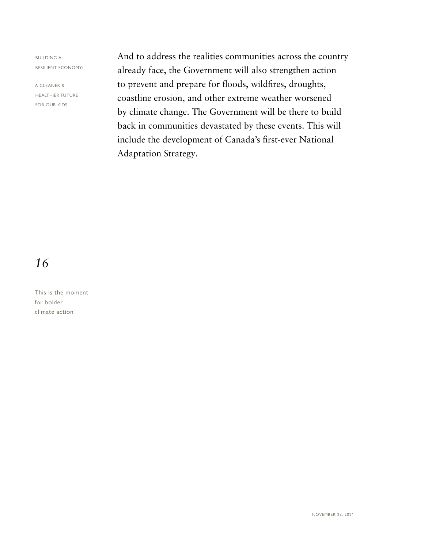A CLEANER & HEALTHIER FUTURE FOR OUR KIDS

And to address the realities communities across the country already face, the Government will also strengthen action to prevent and prepare for floods, wildfires, droughts, coastline erosion, and other extreme weather worsened by climate change. The Government will be there to build back in communities devastated by these events. This will include the development of Canada's first-ever National Adaptation Strategy.

#### *16*

This is the moment for bolder climate action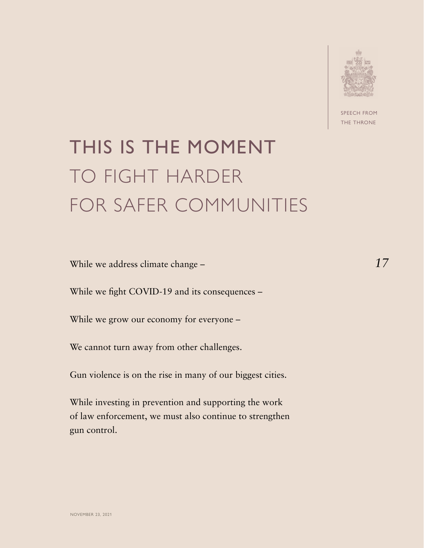

SPEECH FROM THE THRONE

#### THIS IS THE MOMENT TO FIGHT HARDER FOR SAFER COMMUNITIES

While we address climate change –

While we fight COVID-19 and its consequences –

While we grow our economy for everyone –

We cannot turn away from other challenges.

Gun violence is on the rise in many of our biggest cities.

While investing in prevention and supporting the work of law enforcement, we must also continue to strengthen gun control.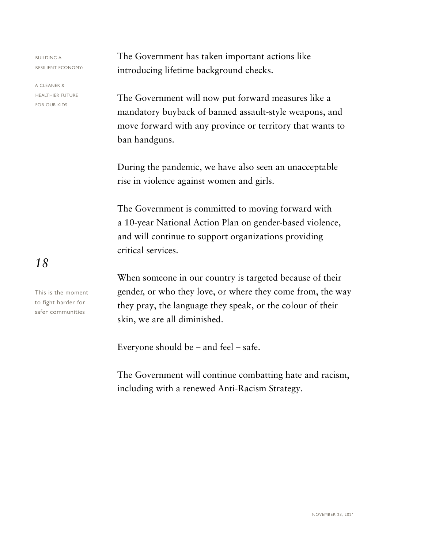A CLEANER & HEALTHIER FUTURE FOR OUR KIDS

The Government has taken important actions like introducing lifetime background checks.

The Government will now put forward measures like a mandatory buyback of banned assault-style weapons, and move forward with any province or territory that wants to ban handguns.

During the pandemic, we have also seen an unacceptable rise in violence against women and girls.

The Government is committed to moving forward with a 10-year National Action Plan on gender-based violence, and will continue to support organizations providing critical services.

When someone in our country is targeted because of their gender, or who they love, or where they come from, the way they pray, the language they speak, or the colour of their skin, we are all diminished.

Everyone should be – and feel – safe.

The Government will continue combatting hate and racism, including with a renewed Anti-Racism Strategy.

*18*

This is the moment to fight harder for safer communities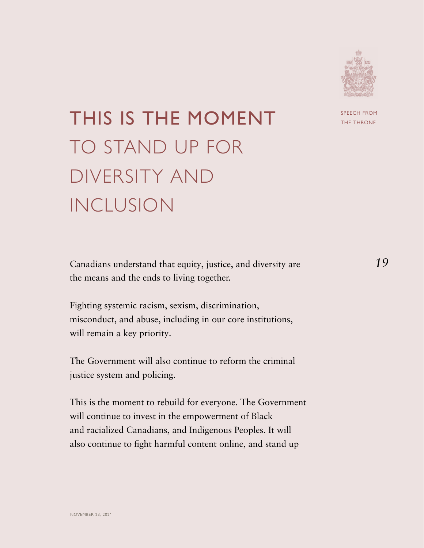

## THIS IS THE MOMENT TO STAND UP FOR DIVERSITY AND INCLUSION

Canadians understand that equity, justice, and diversity are the means and the ends to living together.

Fighting systemic racism, sexism, discrimination, misconduct, and abuse, including in our core institutions, will remain a key priority.

The Government will also continue to reform the criminal justice system and policing.

This is the moment to rebuild for everyone. The Government will continue to invest in the empowerment of Black and racialized Canadians, and Indigenous Peoples. It will also continue to fight harmful content online, and stand up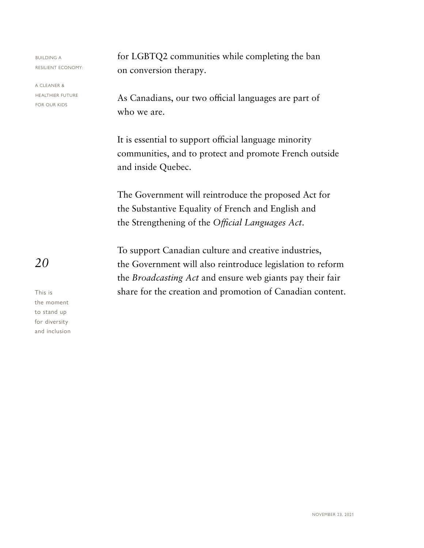A CLEANER & HEALTHIER FUTURE FOR OUR KIDS

for LGBTQ2 communities while completing the ban on conversion therapy.

As Canadians, our two official languages are part of who we are.

It is essential to support official language minority communities, and to protect and promote French outside and inside Quebec.

The Government will reintroduce the proposed Act for the Substantive Equality of French and English and the Strengthening of the *Official Languages Act*.

To support Canadian culture and creative industries, the Government will also reintroduce legislation to reform the *Broadcasting Act* and ensure web giants pay their fair share for the creation and promotion of Canadian content.

*20*

This is the moment to stand up for diversity and inclusion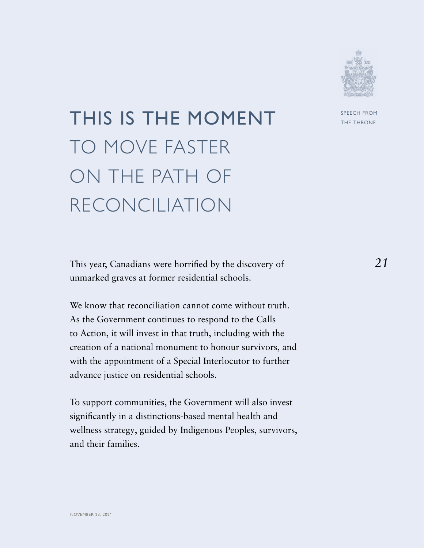

## THIS IS THE MOMENT TO MOVE FASTER ON THE PATH OF RECONCILIATION

This year, Canadians were horrified by the discovery of unmarked graves at former residential schools.

We know that reconciliation cannot come without truth. As the Government continues to respond to the Calls to Action, it will invest in that truth, including with the creation of a national monument to honour survivors, and with the appointment of a Special Interlocutor to further advance justice on residential schools.

To support communities, the Government will also invest significantly in a distinctions-based mental health and wellness strategy, guided by Indigenous Peoples, survivors, and their families.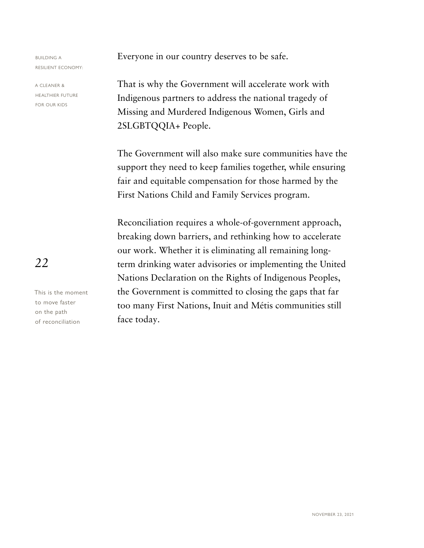A CLEANER & HEALTHIER FUTURE FOR OUR KIDS

Everyone in our country deserves to be safe.

That is why the Government will accelerate work with Indigenous partners to address the national tragedy of Missing and Murdered Indigenous Women, Girls and 2SLGBTQQIA+ People.

The Government will also make sure communities have the support they need to keep families together, while ensuring fair and equitable compensation for those harmed by the First Nations Child and Family Services program.

Reconciliation requires a whole-of-government approach, breaking down barriers, and rethinking how to accelerate our work. Whether it is eliminating all remaining longterm drinking water advisories or implementing the United Nations Declaration on the Rights of Indigenous Peoples, the Government is committed to closing the gaps that far too many First Nations, Inuit and Métis communities still face today.

*22*

This is the moment to move faster on the path of reconciliation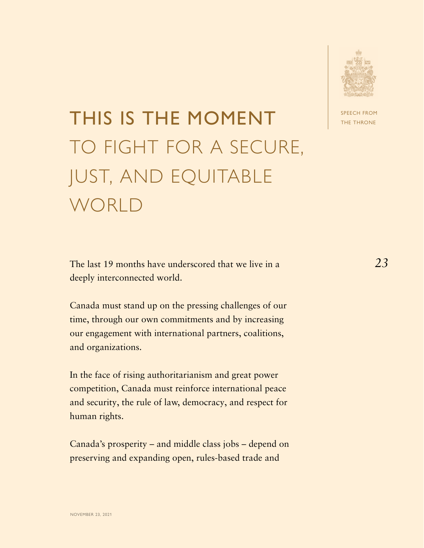

### THIS IS THE MOMENT TO FIGHT FOR A SECURE, JUST, AND EQUITABLE WORLD

The last 19 months have underscored that we live in a deeply interconnected world.

Canada must stand up on the pressing challenges of our time, through our own commitments and by increasing our engagement with international partners, coalitions, and organizations.

In the face of rising authoritarianism and great power competition, Canada must reinforce international peace and security, the rule of law, democracy, and respect for human rights.

Canada's prosperity – and middle class jobs – depend on preserving and expanding open, rules-based trade and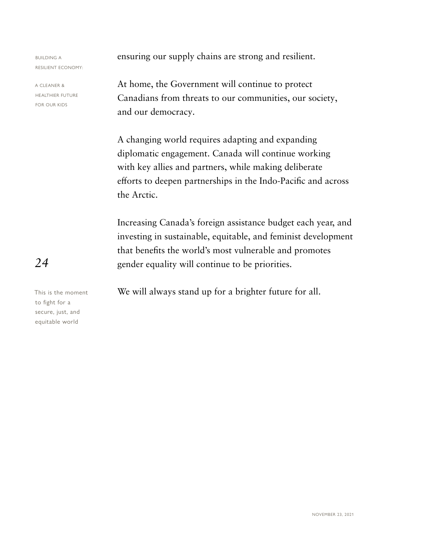A CLEANER & HEALTHIER FUTURE FOR OUR KIDS

ensuring our supply chains are strong and resilient.

At home, the Government will continue to protect Canadians from threats to our communities, our society, and our democracy.

A changing world requires adapting and expanding diplomatic engagement. Canada will continue working with key allies and partners, while making deliberate efforts to deepen partnerships in the Indo-Pacific and across the Arctic.

Increasing Canada's foreign assistance budget each year, and investing in sustainable, equitable, and feminist development that benefits the world's most vulnerable and promotes gender equality will continue to be priorities.

We will always stand up for a brighter future for all.

*24*

This is the moment to fight for a secure, just, and equitable world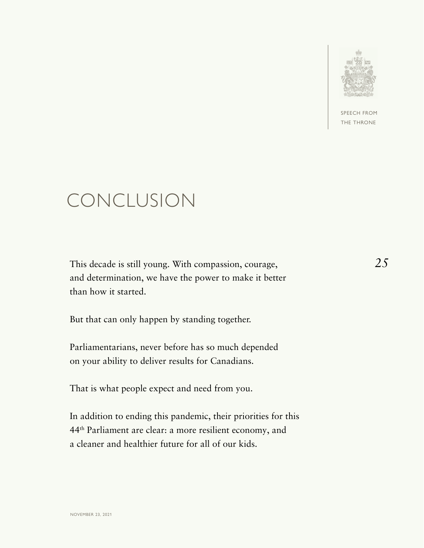

SPEECH FROM THE THRONE

#### CONCLUSION

This decade is still young. With compassion, courage, and determination, we have the power to make it better than how it started.

But that can only happen by standing together.

Parliamentarians, never before has so much depended on your ability to deliver results for Canadians.

That is what people expect and need from you.

In addition to ending this pandemic, their priorities for this 44th Parliament are clear: a more resilient economy, and a cleaner and healthier future for all of our kids.